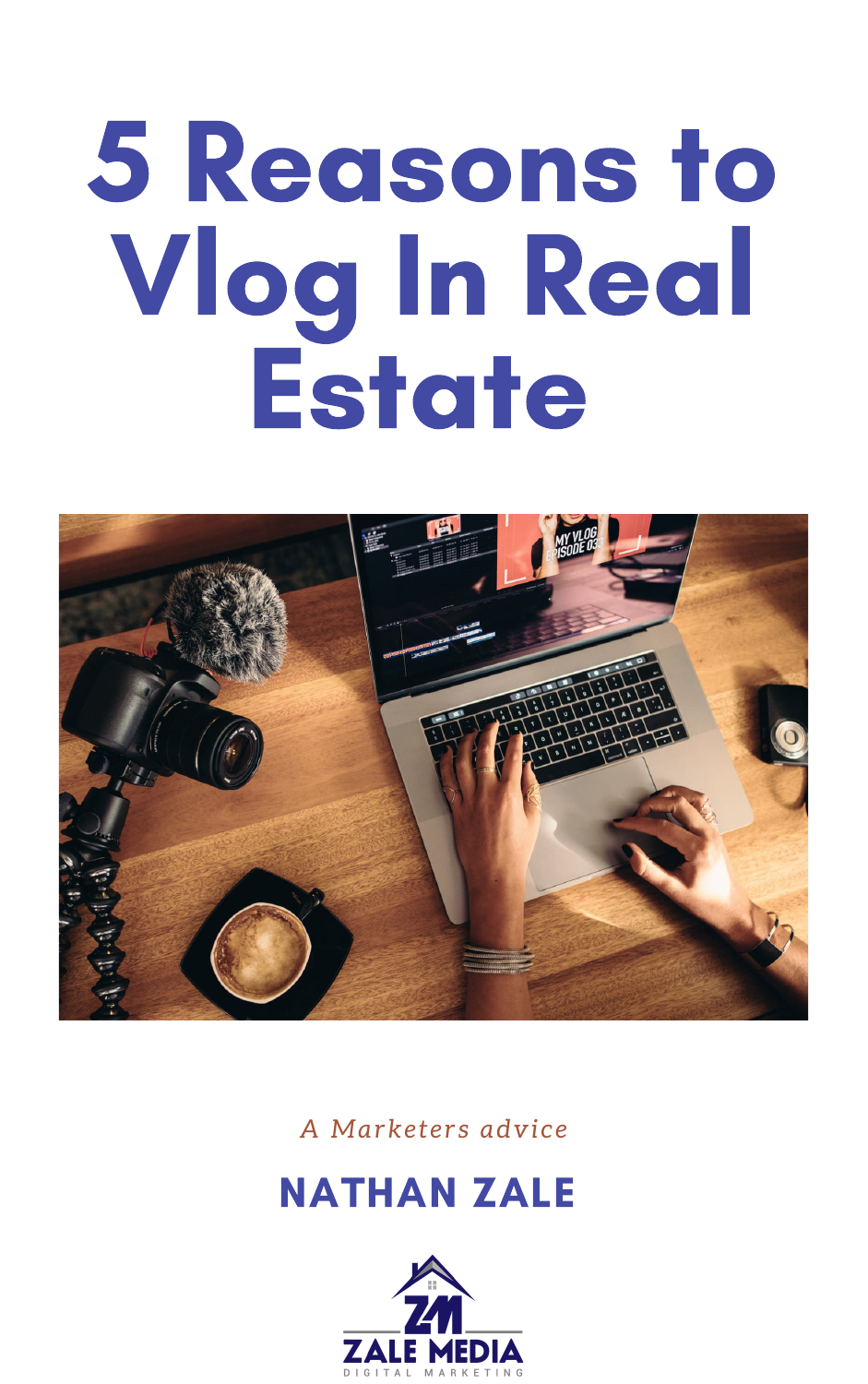# 5 Redsons to Vlog In Real Estote



#### A Marketers advice

## **NATHAN ZALE**

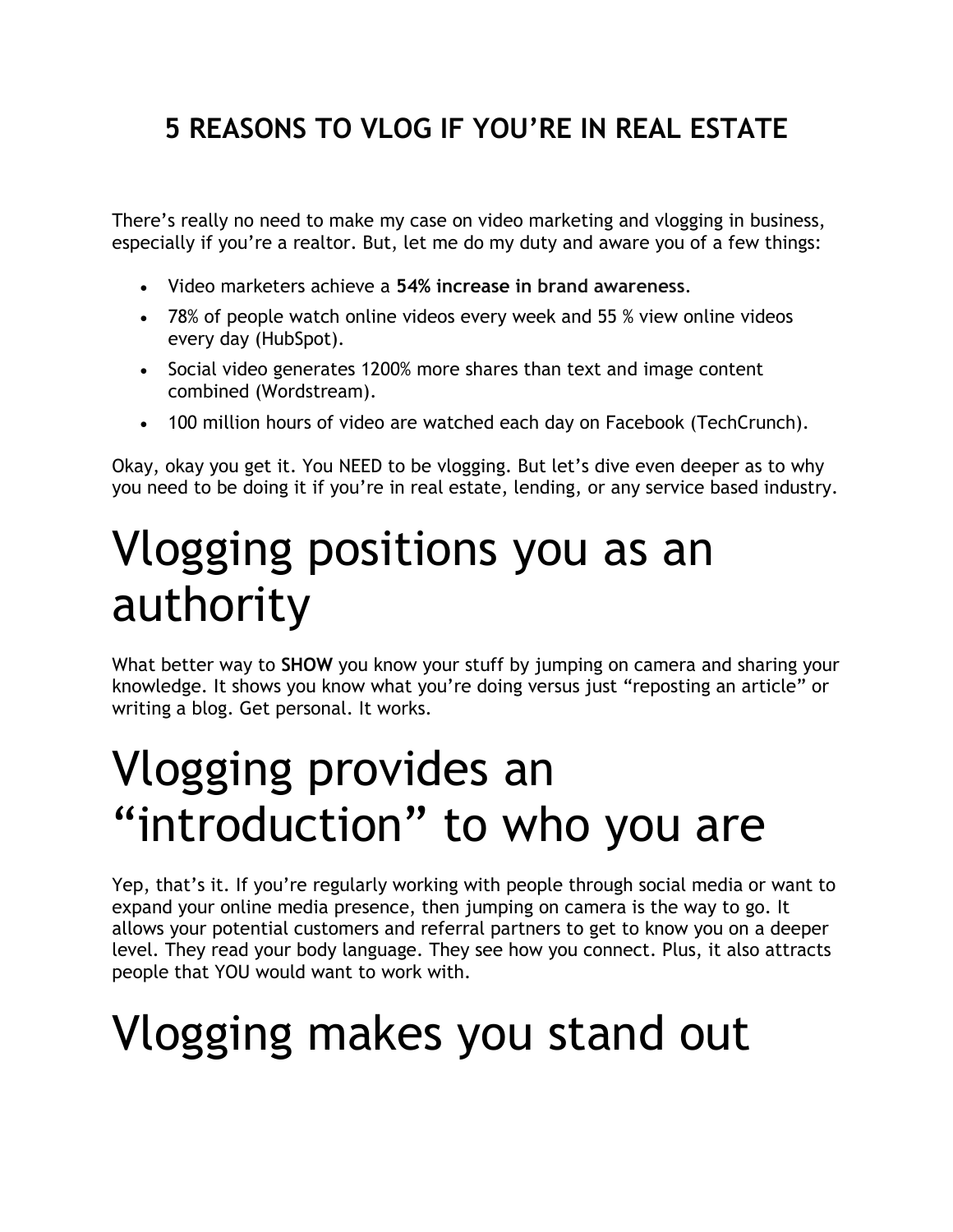#### **5 REASONS TO VLOG IF YOU'RE IN REAL ESTATE**

There's really no need to make my case on video marketing and vlogging in business, especially if you're a realtor. But, let me do my duty and aware you of a few things:

- Video marketers achieve a **54% increase in [brand awareness](https://optinmonster.com/awareness-stage-content-strategy-and-examples/)**.
- 78% of people watch online videos every week and 55 % view online videos every day (HubSpot).
- Social video generates 1200% more shares than text and image content combined (Wordstream).
- 100 million hours of video are watched each day on Facebook (TechCrunch).

Okay, okay you get it. You NEED to be vlogging. But let's dive even deeper as to why you need to be doing it if you're in real estate, lending, or any service based industry.

#### Vlogging positions you as an authority

What better way to **SHOW** you know your stuff by jumping on camera and sharing your knowledge. It shows you know what you're doing versus just "reposting an article" or writing a blog. Get personal. It works.

#### Vlogging provides an "introduction" to who you are

Yep, that's it. If you're regularly working with people through social media or want to expand your online media presence, then jumping on camera is the way to go. It allows your potential customers and referral partners to get to know you on a deeper level. They read your body language. They see how you connect. Plus, it also attracts people that YOU would want to work with.

#### Vlogging makes you stand out